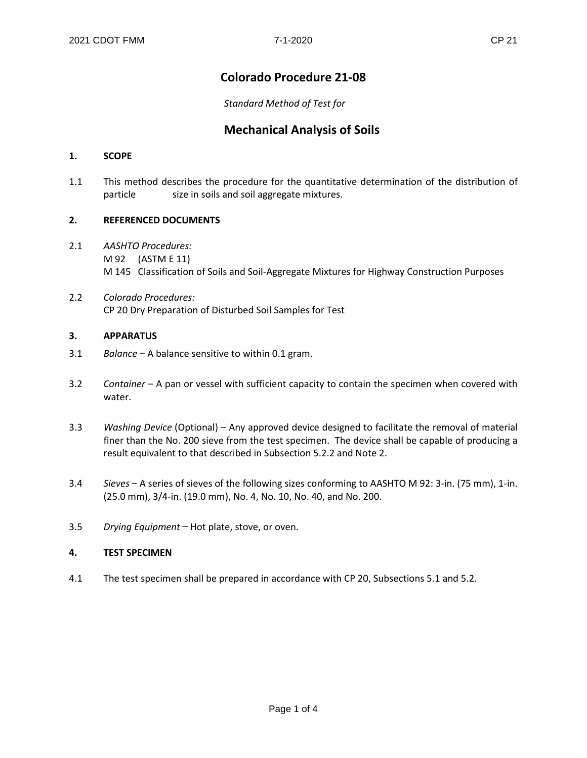# **Colorado Procedure 21-08**

*Standard Method of Test for*

# **Mechanical Analysis of Soils**

## **1. SCOPE**

1.1 This method describes the procedure for the quantitative determination of the distribution of particle size in soils and soil aggregate mixtures.

# **2. REFERENCED DOCUMENTS**

- 2.1 *AASHTO Procedures:* M 92 (ASTM E 11) M 145 Classification of Soils and Soil-Aggregate Mixtures for Highway Construction Purposes
- 2.2 *Colorado Procedures:* CP 20 Dry Preparation of Disturbed Soil Samples for Test

#### **3. APPARATUS**

- 3.1 *Balance* \_ A balance sensitive to within 0.1 gram.
- 3.2 Container A pan or vessel with sufficient capacity to contain the specimen when covered with water.
- 3.3 *Washing Device* (Optional) \_ Any approved device designed to facilitate the removal of material finer than the No. 200 sieve from the test specimen. The device shall be capable of producing a result equivalent to that described in Subsection 5.2.2 and Note 2.
- 3.4 *Sieves* \_ A series of sieves of the following sizes conforming to AASHTO M 92: 3-in. (75 mm), 1-in. (25.0 mm), 3/4-in. (19.0 mm), No. 4, No. 10, No. 40, and No. 200.
- 3.5 *Drying Equipment* Hot plate, stove, or oven.

#### **4. TEST SPECIMEN**

4.1 The test specimen shall be prepared in accordance with CP 20, Subsections 5.1 and 5.2.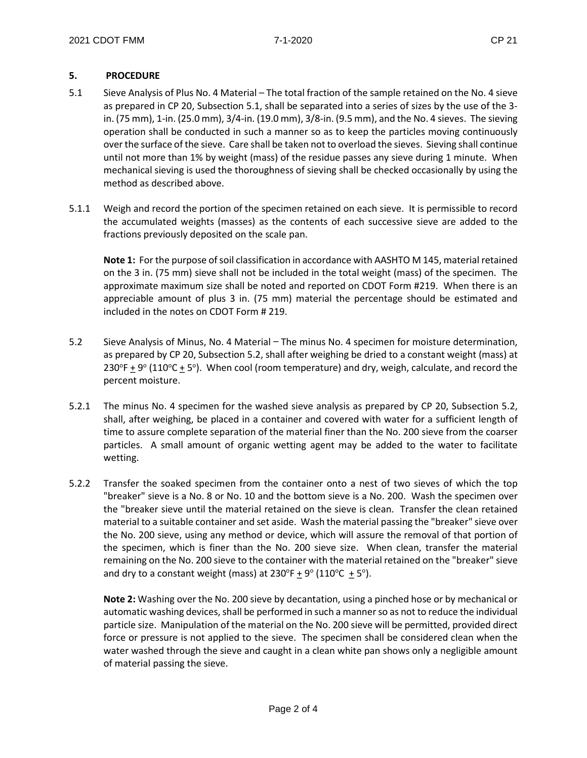# **5. PROCEDURE**

- 5.1 Sieve Analysis of Plus No. 4 Material The total fraction of the sample retained on the No. 4 sieve as prepared in CP 20, Subsection 5.1, shall be separated into a series of sizes by the use of the 3 in. (75 mm), 1-in. (25.0 mm), 3/4-in. (19.0 mm), 3/8-in. (9.5 mm), and the No. 4 sieves. The sieving operation shall be conducted in such a manner so as to keep the particles moving continuously over the surface of the sieve. Care shall be taken not to overload the sieves. Sieving shall continue until not more than 1% by weight (mass) of the residue passes any sieve during 1 minute. When mechanical sieving is used the thoroughness of sieving shall be checked occasionally by using the method as described above.
- 5.1.1 Weigh and record the portion of the specimen retained on each sieve. It is permissible to record the accumulated weights (masses) as the contents of each successive sieve are added to the fractions previously deposited on the scale pan.

**Note 1:** For the purpose of soil classification in accordance with AASHTO M 145, material retained on the 3 in. (75 mm) sieve shall not be included in the total weight (mass) of the specimen. The approximate maximum size shall be noted and reported on CDOT Form #219. When there is an appreciable amount of plus 3 in. (75 mm) material the percentage should be estimated and included in the notes on CDOT Form # 219.

- 5.2 Sieve Analysis of Minus, No. 4 Material The minus No. 4 specimen for moisture determination, as prepared by CP 20, Subsection 5.2, shall after weighing be dried to a constant weight (mass) at 230°F  $\pm$  9° (110°C  $\pm$  5°). When cool (room temperature) and dry, weigh, calculate, and record the percent moisture.
- 5.2.1 The minus No. 4 specimen for the washed sieve analysis as prepared by CP 20, Subsection 5.2, shall, after weighing, be placed in a container and covered with water for a sufficient length of time to assure complete separation of the material finer than the No. 200 sieve from the coarser particles. A small amount of organic wetting agent may be added to the water to facilitate wetting.
- 5.2.2 Transfer the soaked specimen from the container onto a nest of two sieves of which the top "breaker" sieve is a No. 8 or No. 10 and the bottom sieve is a No. 200. Wash the specimen over the "breaker sieve until the material retained on the sieve is clean. Transfer the clean retained material to a suitable container and set aside. Wash the material passing the "breaker" sieve over the No. 200 sieve, using any method or device, which will assure the removal of that portion of the specimen, which is finer than the No. 200 sieve size. When clean, transfer the material remaining on the No. 200 sieve to the container with the material retained on the "breaker" sieve and dry to a constant weight (mass) at  $230^{\circ}F \pm 9^{\circ}$  (110 $^{\circ}C \pm 5^{\circ}$ ).

**Note 2:** Washing over the No. 200 sieve by decantation, using a pinched hose or by mechanical or automatic washing devices, shall be performed in such a manner so as not to reduce the individual particle size. Manipulation of the material on the No. 200 sieve will be permitted, provided direct force or pressure is not applied to the sieve. The specimen shall be considered clean when the water washed through the sieve and caught in a clean white pan shows only a negligible amount of material passing the sieve.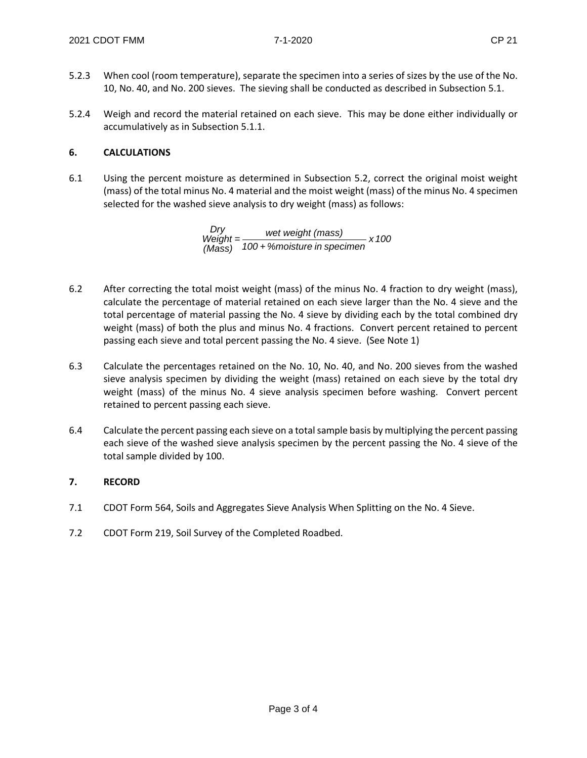- 5.2.3 When cool (room temperature), separate the specimen into a series of sizes by the use of the No. 10, No. 40, and No. 200 sieves. The sieving shall be conducted as described in Subsection 5.1.
- 5.2.4 Weigh and record the material retained on each sieve. This may be done either individually or accumulatively as in Subsection 5.1.1.

## **6. CALCULATIONS**

6.1 Using the percent moisture as determined in Subsection 5.2, correct the original moist weight (mass) of the total minus No. 4 material and the moist weight (mass) of the minus No. 4 specimen selected for the washed sieve analysis to dry weight (mass) as follows:

> *x 100 100 + %moisture in specimen wet weight (mass) <sup>=</sup> (Mass) Weight Dry*

- 6.2 After correcting the total moist weight (mass) of the minus No. 4 fraction to dry weight (mass), calculate the percentage of material retained on each sieve larger than the No. 4 sieve and the total percentage of material passing the No. 4 sieve by dividing each by the total combined dry weight (mass) of both the plus and minus No. 4 fractions. Convert percent retained to percent passing each sieve and total percent passing the No. 4 sieve. (See Note 1)
- 6.3 Calculate the percentages retained on the No. 10, No. 40, and No. 200 sieves from the washed sieve analysis specimen by dividing the weight (mass) retained on each sieve by the total dry weight (mass) of the minus No. 4 sieve analysis specimen before washing. Convert percent retained to percent passing each sieve.
- 6.4 Calculate the percent passing each sieve on a total sample basis by multiplying the percent passing each sieve of the washed sieve analysis specimen by the percent passing the No. 4 sieve of the total sample divided by 100.

# **7. RECORD**

- 7.1 CDOT Form 564, Soils and Aggregates Sieve Analysis When Splitting on the No. 4 Sieve.
- 7.2 CDOT Form 219, Soil Survey of the Completed Roadbed.